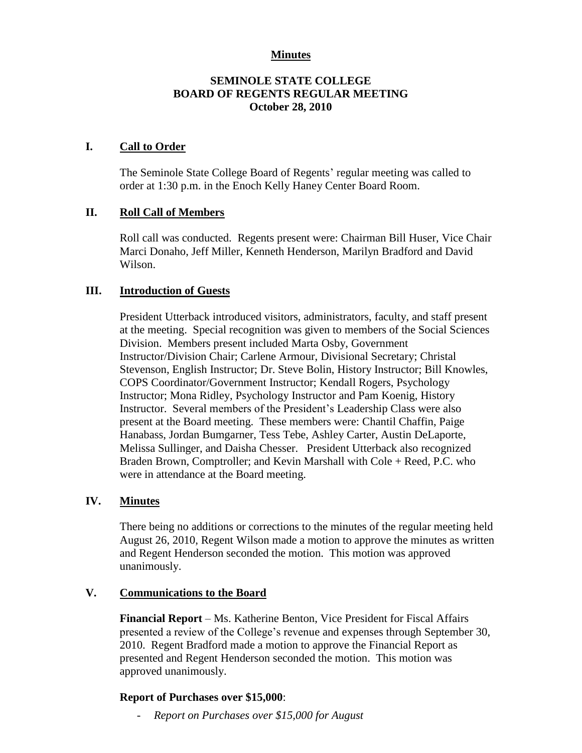## **Minutes**

## **SEMINOLE STATE COLLEGE BOARD OF REGENTS REGULAR MEETING October 28, 2010**

### **I. Call to Order**

The Seminole State College Board of Regents' regular meeting was called to order at 1:30 p.m. in the Enoch Kelly Haney Center Board Room.

## **II. Roll Call of Members**

Roll call was conducted. Regents present were: Chairman Bill Huser, Vice Chair Marci Donaho, Jeff Miller, Kenneth Henderson, Marilyn Bradford and David Wilson.

## **III. Introduction of Guests**

President Utterback introduced visitors, administrators, faculty, and staff present at the meeting. Special recognition was given to members of the Social Sciences Division. Members present included Marta Osby, Government Instructor/Division Chair; Carlene Armour, Divisional Secretary; Christal Stevenson, English Instructor; Dr. Steve Bolin, History Instructor; Bill Knowles, COPS Coordinator/Government Instructor; Kendall Rogers, Psychology Instructor; Mona Ridley, Psychology Instructor and Pam Koenig, History Instructor. Several members of the President's Leadership Class were also present at the Board meeting. These members were: Chantil Chaffin, Paige Hanabass, Jordan Bumgarner, Tess Tebe, Ashley Carter, Austin DeLaporte, Melissa Sullinger, and Daisha Chesser. President Utterback also recognized Braden Brown, Comptroller; and Kevin Marshall with Cole + Reed, P.C. who were in attendance at the Board meeting.

# **IV. Minutes**

There being no additions or corrections to the minutes of the regular meeting held August 26, 2010, Regent Wilson made a motion to approve the minutes as written and Regent Henderson seconded the motion. This motion was approved unanimously.

#### **V. Communications to the Board**

**Financial Report** – Ms. Katherine Benton, Vice President for Fiscal Affairs presented a review of the College's revenue and expenses through September 30, 2010. Regent Bradford made a motion to approve the Financial Report as presented and Regent Henderson seconded the motion. This motion was approved unanimously.

# **Report of Purchases over \$15,000**:

- *Report on Purchases over \$15,000 for August*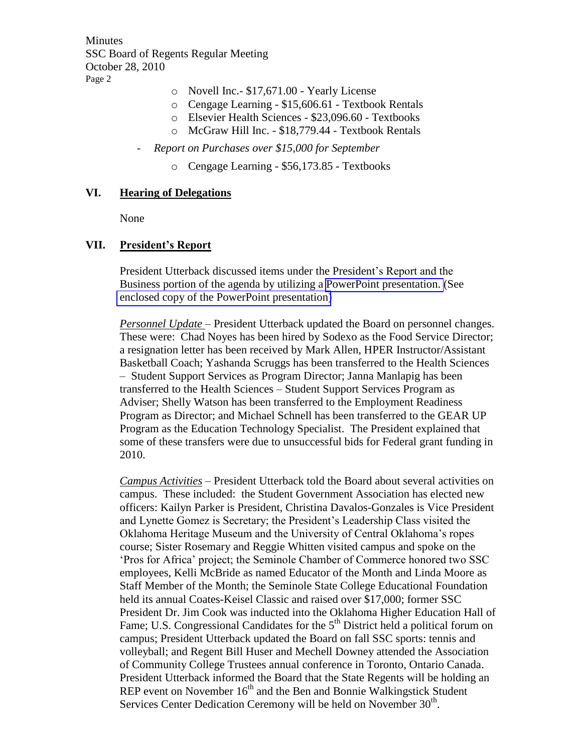**Minutes** SSC Board of Regents Regular Meeting October 28, 2010 Page 2

- o Novell Inc.- \$17,671.00 Yearly License
- o Cengage Learning \$15,606.61 Textbook Rentals
- o Elsevier Health Sciences \$23,096.60 Textbooks
- o McGraw Hill Inc. \$18,779.44 Textbook Rentals
- *Report on Purchases over \$15,000 for September*
	- o Cengage Learning \$56,173.85 Textbooks

#### **VI. Hearing of Delegations**

None

#### **VII. President's Report**

President Utterback discussed items under the President's Report and the Business portion of the agenda by utilizing a PowerPoint presentation. (See enclosed copy of the PowerPoint presentation)

*Personnel Update* – President Utterback updated the Board on personnel changes. These were: Chad Noyes has been hired by Sodexo as the Food Service Director; a resignation letter has been received by Mark Allen, HPER Instructor/Assistant Basketball Coach; Yashanda Scruggs has been transferred to the Health Sciences – Student Support Services as Program Director; Janna Manlapig has been transferred to the Health Sciences – Student Support Services Program as Adviser; Shelly Watson has been transferred to the Employment Readiness Program as Director; and Michael Schnell has been transferred to the GEAR UP Program as the Education Technology Specialist. The President explained that some of these transfers were due to unsuccessful bids for Federal grant funding in 2010.

*Campus Activities* – President Utterback told the Board about several activities on campus. These included: the Student Government Association has elected new officers: Kailyn Parker is President, Christina Davalos-Gonzales is Vice President and Lynette Gomez is Secretary; the President's Leadership Class visited the Oklahoma Heritage Museum and the University of Central Oklahoma's ropes course; Sister Rosemary and Reggie Whitten visited campus and spoke on the 'Pros for Africa' project; the Seminole Chamber of Commerce honored two SSC employees, Kelli McBride as named Educator of the Month and Linda Moore as Staff Member of the Month; the Seminole State College Educational Foundation held its annual Coates-Keisel Classic and raised over \$17,000; former SSC President Dr. Jim Cook was inducted into the Oklahoma Higher Education Hall of Fame; U.S. Congressional Candidates for the 5<sup>th</sup> District held a political forum on campus; President Utterback updated the Board on fall SSC sports: tennis and volleyball; and Regent Bill Huser and Mechell Downey attended the Association of Community College Trustees annual conference in Toronto, Ontario Canada. President Utterback informed the Board that the State Regents will be holding an REP event on November  $16<sup>th</sup>$  and the Ben and Bonnie Walkingstick Student Services Center Dedication Ceremony will be held on November 30<sup>th</sup>.